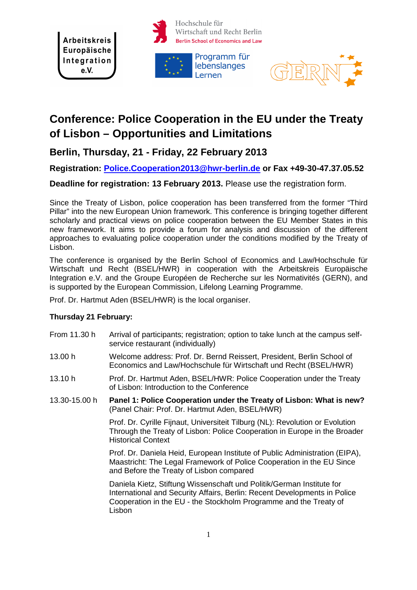**Arbeitskreis** Europäische Integration  $e.V.$ 





# **Conference: Police Cooperation in the EU under the Treaty of Lisbon – Opportunities and Limitations**

Lernen

## **Berlin, Thursday, 21 - Friday, 22 February 2013**

## **Registration: Police.Cooperation2013@hwr-berlin.de or Fax +49-30-47.37.05.52**

## **Deadline for registration: 13 February 2013.** Please use the registration form.

Since the Treaty of Lisbon, police cooperation has been transferred from the former "Third Pillar" into the new European Union framework. This conference is bringing together different scholarly and practical views on police cooperation between the EU Member States in this new framework. It aims to provide a forum for analysis and discussion of the different approaches to evaluating police cooperation under the conditions modified by the Treaty of Lisbon.

The conference is organised by the Berlin School of Economics and Law/Hochschule für Wirtschaft und Recht (BSEL/HWR) in cooperation with the Arbeitskreis Europäische Integration e.V. and the Groupe Européen de Recherche sur les Normativités (GERN), and is supported by the European Commission, Lifelong Learning Programme.

Prof. Dr. Hartmut Aden (BSEL/HWR) is the local organiser.

### **Thursday 21 February:**

- From 11.30 h Arrival of participants; registration; option to take lunch at the campus selfservice restaurant (individually)
- 13.00 h Welcome address: Prof. Dr. Bernd Reissert, President, Berlin School of Economics and Law/Hochschule für Wirtschaft und Recht (BSEL/HWR)
- 13.10 h Prof. Dr. Hartmut Aden, BSEL/HWR: Police Cooperation under the Treaty of Lisbon: Introduction to the Conference
- 13.30-15.00 h **Panel 1: Police Cooperation under the Treaty of Lisbon: What is new?**  (Panel Chair: Prof. Dr. Hartmut Aden, BSEL/HWR)

 Prof. Dr. Cyrille Fijnaut, Universiteit Tilburg (NL): Revolution or Evolution Through the Treaty of Lisbon: Police Cooperation in Europe in the Broader Historical Context

 Prof. Dr. Daniela Heid, European Institute of Public Administration (EIPA), Maastricht: The Legal Framework of Police Cooperation in the EU Since and Before the Treaty of Lisbon compared

 Daniela Kietz, Stiftung Wissenschaft und Politik/German Institute for International and Security Affairs, Berlin: Recent Developments in Police Cooperation in the EU - the Stockholm Programme and the Treaty of Lisbon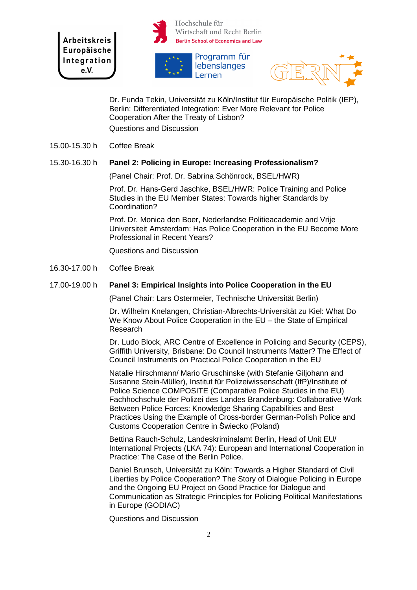**Arbeitskreis** Europäische Integration  $e.V.$ 



Hochschule für Wirtschaft und Recht Berlin **Berlin School of Economics and Law** 





 Dr. Funda Tekin, Universität zu Köln/Institut für Europäische Politik (IEP), Berlin: Differentiated Integration: Ever More Relevant for Police Cooperation After the Treaty of Lisbon? Questions and Discussion

15.00-15.30 h Coffee Break

#### 15.30-16.30 h **Panel 2: Policing in Europe: Increasing Professionalism?**

(Panel Chair: Prof. Dr. Sabrina Schönrock, BSEL/HWR)

 Prof. Dr. Hans-Gerd Jaschke, BSEL/HWR: Police Training and Police Studies in the EU Member States: Towards higher Standards by Coordination?

 Prof. Dr. Monica den Boer, Nederlandse Politieacademie and Vrije Universiteit Amsterdam: Has Police Cooperation in the EU Become More Professional in Recent Years?

Questions and Discussion

16.30-17.00 h Coffee Break

#### 17.00-19.00 h **Panel 3: Empirical Insights into Police Cooperation in the EU**

(Panel Chair: Lars Ostermeier, Technische Universität Berlin)

 Dr. Wilhelm Knelangen, Christian-Albrechts-Universität zu Kiel: What Do We Know About Police Cooperation in the EU – the State of Empirical Research

 Dr. Ludo Block, ARC Centre of Excellence in Policing and Security (CEPS), Griffith University, Brisbane: Do Council Instruments Matter? The Effect of Council Instruments on Practical Police Cooperation in the EU

 Natalie Hirschmann/ Mario Gruschinske (with Stefanie Giljohann and Susanne Stein-Müller), Institut für Polizeiwissenschaft (IfP)/Institute of Police Science COMPOSITE (Comparative Police Studies in the EU) Fachhochschule der Polizei des Landes Brandenburg: Collaborative Work Between Police Forces: Knowledge Sharing Capabilities and Best Practices Using the Example of Cross-border German-Polish Police and Customs Cooperation Centre in Świecko (Poland)

 Bettina Rauch-Schulz, Landeskriminalamt Berlin, Head of Unit EU/ International Projects (LKA 74): European and International Cooperation in Practice: The Case of the Berlin Police.

 Daniel Brunsch, Universität zu Köln: Towards a Higher Standard of Civil Liberties by Police Cooperation? The Story of Dialogue Policing in Europe and the Ongoing EU Project on Good Practice for Dialogue and Communication as Strategic Principles for Policing Political Manifestations in Europe (GODIAC)

Questions and Discussion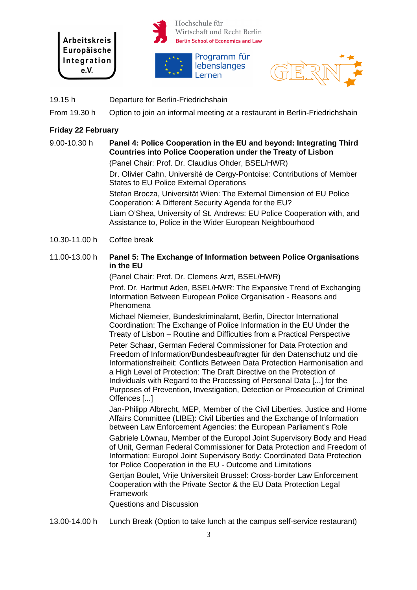







19.15 h Departure for Berlin-Friedrichshain

From 19.30 h Option to join an informal meeting at a restaurant in Berlin-Friedrichshain

#### **Friday 22 February**

## 9.00-10.30 h **Panel 4: Police Cooperation in the EU and beyond: Integrating Third Countries into Police Cooperation under the Treaty of Lisbon**

(Panel Chair: Prof. Dr. Claudius Ohder, BSEL/HWR)

 Dr. Olivier Cahn, Université de Cergy-Pontoise: Contributions of Member States to EU Police External Operations

 Stefan Brocza, Universität Wien: The External Dimension of EU Police Cooperation: A Different Security Agenda for the EU?

 Liam O'Shea, University of St. Andrews: EU Police Cooperation with, and Assistance to, Police in the Wider European Neighbourhood

10.30-11.00 h Coffee break

#### 11.00-13.00 h **Panel 5: The Exchange of Information between Police Organisations in the EU**

(Panel Chair: Prof. Dr. Clemens Arzt, BSEL/HWR)

Prof. Dr. Hartmut Aden, BSEL/HWR: The Expansive Trend of Exchanging Information Between European Police Organisation - Reasons and Phenomena

 Michael Niemeier, Bundeskriminalamt, Berlin, Director International Coordination: The Exchange of Police Information in the EU Under the Treaty of Lisbon – Routine and Difficulties from a Practical Perspective

Peter Schaar, German Federal Commissioner for Data Protection and Freedom of Information/Bundesbeauftragter für den Datenschutz und die Informationsfreiheit: Conflicts Between Data Protection Harmonisation and a High Level of Protection: The Draft Directive on the Protection of Individuals with Regard to the Processing of Personal Data [...] for the Purposes of Prevention, Investigation, Detection or Prosecution of Criminal Offences [...]

 Jan-Philipp Albrecht, MEP, Member of the Civil Liberties, Justice and Home Affairs Committee (LIBE): Civil Liberties and the Exchange of Information between Law Enforcement Agencies: the European Parliament's Role

 Gabriele Löwnau, Member of the Europol Joint Supervisory Body and Head of Unit, German Federal Commissioner for Data Protection and Freedom of Information: Europol Joint Supervisory Body: Coordinated Data Protection for Police Cooperation in the EU - Outcome and Limitations

Gertian Boulet, Vrije Universiteit Brussel: Cross-border Law Enforcement Cooperation with the Private Sector & the EU Data Protection Legal **Framework** 

Questions and Discussion

13.00-14.00 h Lunch Break (Option to take lunch at the campus self-service restaurant)